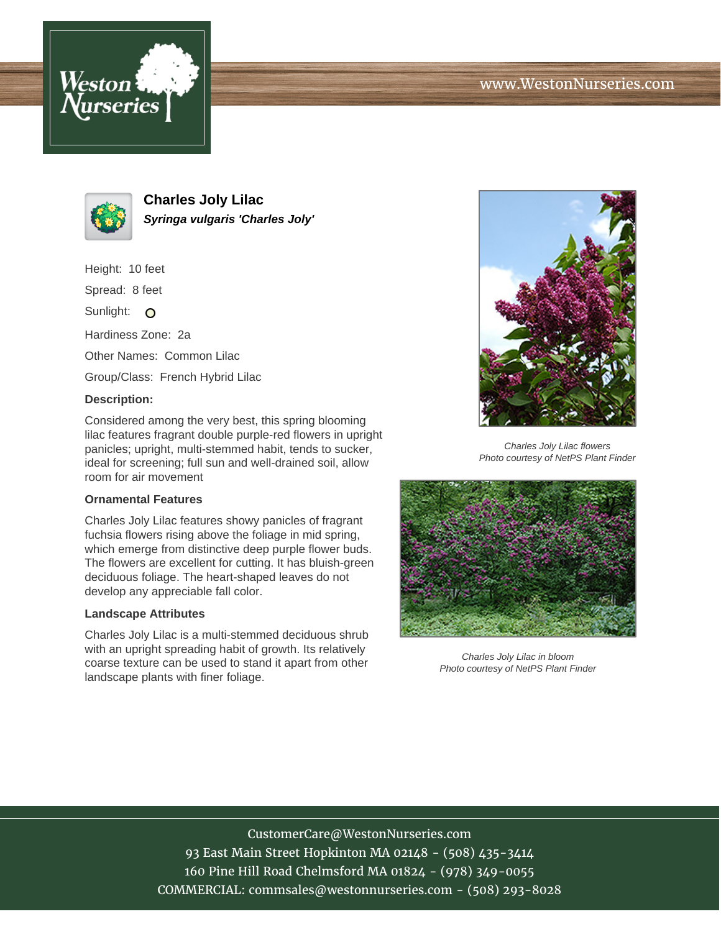



**Charles Joly Lilac Syringa vulgaris 'Charles Joly'**

Height: 10 feet

Spread: 8 feet

Sunlight: O

Hardiness Zone: 2a

Other Names: Common Lilac

Group/Class: French Hybrid Lilac

### **Description:**

Considered among the very best, this spring blooming lilac features fragrant double purple-red flowers in upright panicles; upright, multi-stemmed habit, tends to sucker, ideal for screening; full sun and well-drained soil, allow room for air movement

# **Ornamental Features**

Charles Joly Lilac features showy panicles of fragrant fuchsia flowers rising above the foliage in mid spring, which emerge from distinctive deep purple flower buds. The flowers are excellent for cutting. It has bluish-green deciduous foliage. The heart-shaped leaves do not develop any appreciable fall color.

#### **Landscape Attributes**

Charles Joly Lilac is a multi-stemmed deciduous shrub with an upright spreading habit of growth. Its relatively coarse texture can be used to stand it apart from other landscape plants with finer foliage.



Charles Joly Lilac flowers Photo courtesy of NetPS Plant Finder



Charles Joly Lilac in bloom Photo courtesy of NetPS Plant Finder

# CustomerCare@WestonNurseries.com 93 East Main Street Hopkinton MA 02148 - (508) 435-3414 160 Pine Hill Road Chelmsford MA 01824 - (978) 349-0055 COMMERCIAL: commsales@westonnurseries.com - (508) 293-8028